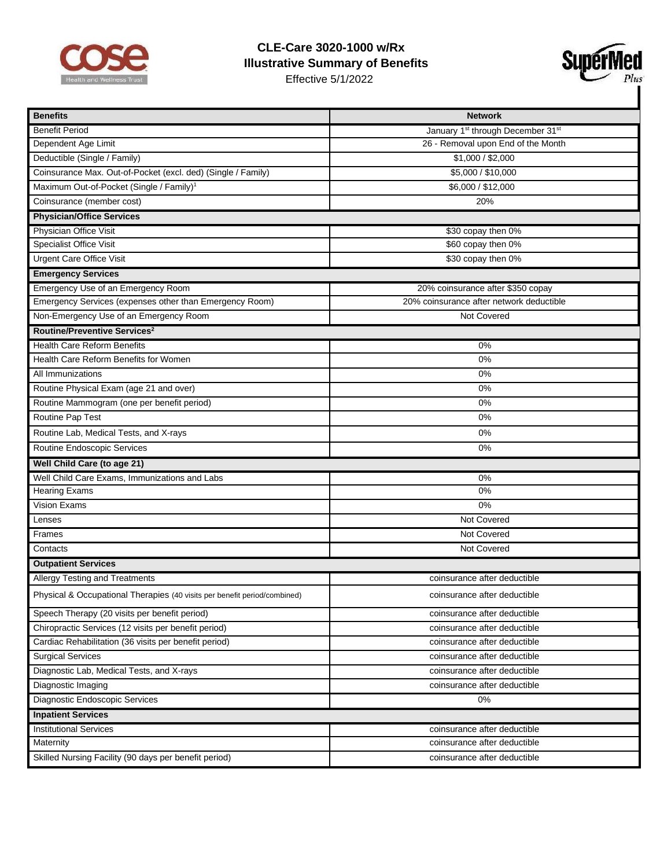

## **CLE-Care 3020-1000 w/Rx Illustrative Summary of Benefits**

Effective 5/1/2022



| <b>Benefits</b>                                                           | <b>Network</b>                                            |  |  |  |
|---------------------------------------------------------------------------|-----------------------------------------------------------|--|--|--|
| <b>Benefit Period</b>                                                     | January 1 <sup>st</sup> through December 31 <sup>st</sup> |  |  |  |
| Dependent Age Limit                                                       | 26 - Removal upon End of the Month                        |  |  |  |
| Deductible (Single / Family)                                              | \$1,000 / \$2,000                                         |  |  |  |
| Coinsurance Max. Out-of-Pocket (excl. ded) (Single / Family)              | \$5,000 / \$10,000                                        |  |  |  |
| Maximum Out-of-Pocket (Single / Family) <sup>1</sup>                      | \$6,000 / \$12,000                                        |  |  |  |
| Coinsurance (member cost)                                                 | 20%                                                       |  |  |  |
| <b>Physician/Office Services</b>                                          |                                                           |  |  |  |
| Physician Office Visit                                                    | \$30 copay then 0%                                        |  |  |  |
| <b>Specialist Office Visit</b>                                            | \$60 copay then 0%                                        |  |  |  |
| <b>Urgent Care Office Visit</b>                                           | \$30 copay then 0%                                        |  |  |  |
| <b>Emergency Services</b>                                                 |                                                           |  |  |  |
| Emergency Use of an Emergency Room                                        | 20% coinsurance after \$350 copay                         |  |  |  |
| Emergency Services (expenses other than Emergency Room)                   | 20% coinsurance after network deductible                  |  |  |  |
| Non-Emergency Use of an Emergency Room                                    | Not Covered                                               |  |  |  |
| Routine/Preventive Services <sup>2</sup>                                  |                                                           |  |  |  |
| <b>Health Care Reform Benefits</b>                                        | 0%                                                        |  |  |  |
| Health Care Reform Benefits for Women                                     | $0\%$                                                     |  |  |  |
| All Immunizations                                                         | 0%                                                        |  |  |  |
| Routine Physical Exam (age 21 and over)                                   | 0%                                                        |  |  |  |
| Routine Mammogram (one per benefit period)                                | 0%                                                        |  |  |  |
| Routine Pap Test                                                          | 0%                                                        |  |  |  |
| Routine Lab, Medical Tests, and X-rays                                    | 0%                                                        |  |  |  |
| Routine Endoscopic Services                                               | 0%                                                        |  |  |  |
| <b>Well Child Care (to age 21)</b>                                        |                                                           |  |  |  |
| Well Child Care Exams, Immunizations and Labs                             | 0%                                                        |  |  |  |
| <b>Hearing Exams</b>                                                      | 0%                                                        |  |  |  |
| <b>Vision Exams</b>                                                       | 0%                                                        |  |  |  |
| Lenses                                                                    | Not Covered                                               |  |  |  |
| Frames                                                                    | Not Covered                                               |  |  |  |
| Contacts                                                                  | Not Covered                                               |  |  |  |
| <b>Outpatient Services</b>                                                |                                                           |  |  |  |
| Allergy Testing and Treatments                                            | coinsurance after deductible                              |  |  |  |
| Physical & Occupational Therapies (40 visits per benefit period/combined) | coinsurance after deductible                              |  |  |  |
| Speech Therapy (20 visits per benefit period)                             | coinsurance after deductible                              |  |  |  |
| Chiropractic Services (12 visits per benefit period)                      | coinsurance after deductible                              |  |  |  |
| Cardiac Rehabilitation (36 visits per benefit period)                     | coinsurance after deductible                              |  |  |  |
| <b>Surgical Services</b>                                                  | coinsurance after deductible                              |  |  |  |
| Diagnostic Lab, Medical Tests, and X-rays                                 | coinsurance after deductible                              |  |  |  |
| Diagnostic Imaging                                                        | coinsurance after deductible                              |  |  |  |
| Diagnostic Endoscopic Services                                            | 0%                                                        |  |  |  |
| <b>Inpatient Services</b>                                                 |                                                           |  |  |  |
| <b>Institutional Services</b>                                             | coinsurance after deductible                              |  |  |  |
| Maternity                                                                 | coinsurance after deductible                              |  |  |  |
| Skilled Nursing Facility (90 days per benefit period)                     | coinsurance after deductible                              |  |  |  |